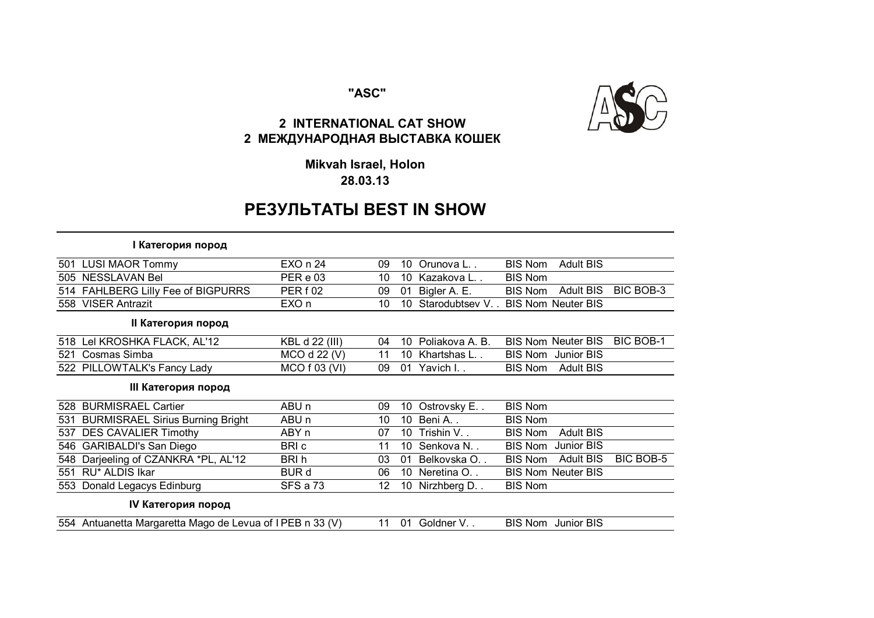### "ASC"



## 2 INTERNATIONAL CAT SHOW 2 МЕЖДУНАРОДНАЯ ВЫСТАВКА КОШЕК

Mikvah Israel, Holon 28.03.13

# **PE3YJIbTATbI BEST IN SHOW**

#### **I Категория пород**

| 501 | <b>LUSI MAOR Tommy</b>                                   | EXO n 24         | 09 | 10 | Orunova L       | <b>BIS Nom</b> | <b>Adult BIS</b>          |           |
|-----|----------------------------------------------------------|------------------|----|----|-----------------|----------------|---------------------------|-----------|
| 505 | <b>NESSLAVAN Bel</b>                                     | PER e 03         | 10 | 10 | Kazakova L      | <b>BIS Nom</b> |                           |           |
|     | 514 FAHLBERG Lilly Fee of BIGPURRS                       | PER f 02         | 09 | 01 | Bigler A. E.    | <b>BIS Nom</b> | <b>Adult BIS</b>          | BIC BOB-3 |
|     | 558 VISER Antrazit                                       | EXO n            | 10 | 10 | Starodubtsev V  |                | <b>BIS Nom Neuter BIS</b> |           |
|     | II Категория пород                                       |                  |    |    |                 |                |                           |           |
|     | 518 Lel KROSHKA FLACK, AL'12                             | KBL d 22 (III)   | 04 | 10 | Poliakova A. B. |                | <b>BIS Nom Neuter BIS</b> | BIC BOB-1 |
| 521 | Cosmas Simba                                             | MCO d 22 (V)     | 11 | 10 | Khartshas L     | <b>BIS Nom</b> | Junior BIS                |           |
|     | 522 PILLOWTALK's Fancy Lady                              | MCO f 03 (VI)    | 09 |    | 01 Yavich I     | <b>BIS Nom</b> | <b>Adult BIS</b>          |           |
|     | III Категория пород                                      |                  |    |    |                 |                |                           |           |
|     | 528 BURMISRAEL Cartier                                   | ABU n            | 09 | 10 | Ostrovsky E     | <b>BIS Nom</b> |                           |           |
| 531 | <b>BURMISRAEL Sirius Burning Bright</b>                  | ABU <sub>n</sub> | 10 |    | 10 Beni A       | <b>BIS Nom</b> |                           |           |
| 537 | <b>DES CAVALIER Timothy</b>                              | ABY n            | 07 | 10 | Trishin V       | <b>BIS Nom</b> | <b>Adult BIS</b>          |           |
|     | 546 GARIBALDI's San Diego                                | BRI c            | 11 | 10 | Senkova N.,     | <b>BIS Nom</b> | Junior BIS                |           |
|     | 548 Darjeeling of CZANKRA *PL, AL'12                     | BRI h            | 03 | 01 | Belkovska O     | <b>BIS Nom</b> | <b>Adult BIS</b>          | BIC BOB-5 |
| 551 | RU* ALDIS Ikar                                           | <b>BUR d</b>     | 06 |    | 10 Neretina O   |                | <b>BIS Nom Neuter BIS</b> |           |
|     | 553 Donald Legacys Edinburg                              | SFS a 73         | 12 |    | 10 Nirzhberg D  | <b>BIS Nom</b> |                           |           |
|     | IV Категория пород                                       |                  |    |    |                 |                |                           |           |
|     | 554 Antuanetta Margaretta Mago de Levua of IPEB n 33 (V) |                  | 11 | 01 | Goldner V       |                | <b>BIS Nom</b> Junior BIS |           |